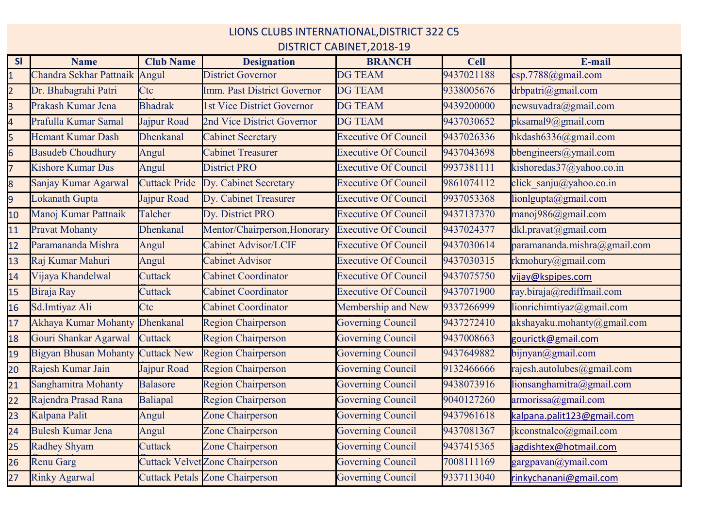LIONS CLUBS INTERNATIONAL,DISTRICT 322 C5

## DISTRICT CABINET,2018-19

| SI             | <b>Name</b>                  | <b>Club Name</b>     | <b>Designation</b>                     | <b>BRANCH</b>               | <b>Cell</b> | E-mail                                          |
|----------------|------------------------------|----------------------|----------------------------------------|-----------------------------|-------------|-------------------------------------------------|
|                | Chandra Sekhar Pattnaik      | Angul                | <b>District Governor</b>               | <b>DG TEAM</b>              | 9437021188  | csp.7788@gmail.com                              |
| $\overline{2}$ | Dr. Bhabagrahi Patri         | Ctc                  | Imm. Past District Governor            | <b>DG TEAM</b>              | 9338005676  | drbpatri@gmail.com                              |
| $\overline{3}$ | Prakash Kumar Jena           | <b>Bhadrak</b>       | 1st Vice District Governor             | <b>DG TEAM</b>              | 9439200000  | newsuvadra@gmail.com                            |
| 4              | Prafulla Kumar Samal         | Jajpur Road          | 2nd Vice District Governor             | <b>DG TEAM</b>              | 9437030652  | pksamal9@gmail.com                              |
| 5              | Hemant Kumar Dash            | <b>Dhenkanal</b>     | <b>Cabinet Secretary</b>               | <b>Executive Of Council</b> | 9437026336  | hkdash6336@gmail.com                            |
| 6              | <b>Basudeb Choudhury</b>     | Angul                | <b>Cabinet Treasurer</b>               | <b>Executive Of Council</b> | 9437043698  | bbengineers@ymail.com                           |
| 7              | Kishore Kumar Das            | Angul                | <b>District PRO</b>                    | <b>Executive Of Council</b> | 9937381111  | kishoredas37@yahoo.co.in                        |
| 8              | Sanjay Kumar Agarwal         | <b>Cuttack Pride</b> | Dy. Cabinet Secretary                  | <b>Executive Of Council</b> | 9861074112  | click sanju@yahoo.co.in                         |
| 9              | Lokanath Gupta               | Jajpur Road          | Dy. Cabinet Treasurer                  | <b>Executive Of Council</b> | 9937053368  | lionlgupta@gmail.com                            |
| 10             | Manoj Kumar Pattnaik         | Talcher              | Dy. District PRO                       | <b>Executive Of Council</b> | 9437137370  | manoj986@gmail.com                              |
| 11             | <b>Pravat Mohanty</b>        | <b>Dhenkanal</b>     | Mentor/Chairperson, Honorary           | <b>Executive Of Council</b> | 9437024377  | dkl.pravat@gmail.com                            |
| 12             | Paramananda Mishra           | Angul                | <b>Cabinet Advisor/LCIF</b>            | <b>Executive Of Council</b> | 9437030614  | paramananda.mishra@gmail.com                    |
| 13             | Raj Kumar Mahuri             | Angul                | <b>Cabinet Advisor</b>                 | <b>Executive Of Council</b> | 9437030315  | rkmohury@gmail.com                              |
| 14             | Vijaya Khandelwal            | Cuttack              | <b>Cabinet Coordinator</b>             | <b>Executive Of Council</b> | 9437075750  | vijay@kspipes.com                               |
| 15             | Biraja Ray                   | Cuttack              | <b>Cabinet Coordinator</b>             | <b>Executive Of Council</b> | 9437071900  | ray.biraja@rediffmail.com                       |
| 16             | Sd.Imtiyaz Ali               | Ctc                  | <b>Cabinet Coordinator</b>             | Membership and New          | 9337266999  | lionrichimtiyaz@gmail.com                       |
| 17             | Akhaya Kumar Mohanty         | <b>Dhenkanal</b>     | <b>Region Chairperson</b>              | <b>Governing Council</b>    | 9437272410  | akshayaku.mohanty@gmail.com                     |
| 18             | Gouri Shankar Agarwal        | Cuttack              | <b>Region Chairperson</b>              | <b>Governing Council</b>    | 9437008663  | gourictk@gmail.com                              |
| 19             | <b>Bigyan Bhusan Mohanty</b> | <b>Cuttack New</b>   | <b>Region Chairperson</b>              | <b>Governing Council</b>    | 9437649882  | $b$ ijnyan@gmail.com                            |
| 20             | Rajesh Kumar Jain            | Jajpur Road          | <b>Region Chairperson</b>              | <b>Governing Council</b>    | 9132466666  | rajesh.autolubes@gmail.com                      |
| 21             | Sanghamitra Mohanty          | <b>Balasore</b>      | <b>Region Chairperson</b>              | <b>Governing Council</b>    | 9438073916  | $\text{lionsanghamitra}(\widehat{a})$ gmail.com |
| 22             | Rajendra Prasad Rana         | Baliapal             | <b>Region Chairperson</b>              | <b>Governing Council</b>    | 9040127260  | armorissa@gmail.com                             |
| 23             | Kalpana Palit                | Angul                | Zone Chairperson                       | <b>Governing Council</b>    | 9437961618  | kalpana.palit123@gmail.com                      |
| 24             | <b>Bulesh Kumar Jena</b>     | Angul                | Zone Chairperson                       | <b>Governing Council</b>    | 9437081367  | jkconstnalco@gmail.com                          |
| 25             | <b>Radhey Shyam</b>          | Cuttack              | Zone Chairperson                       | <b>Governing Council</b>    | 9437415365  | jagdishtex@hotmail.com                          |
| 26             | <b>Renu Garg</b>             |                      | <b>Cuttack Velvet Zone Chairperson</b> | Governing Council           | 7008111169  | gargpavan@ymail.com                             |
| 27             | <b>Rinky Agarwal</b>         |                      | <b>Cuttack Petals Zone Chairperson</b> | Governing Council           | 9337113040  | rinkychanani@gmail.com                          |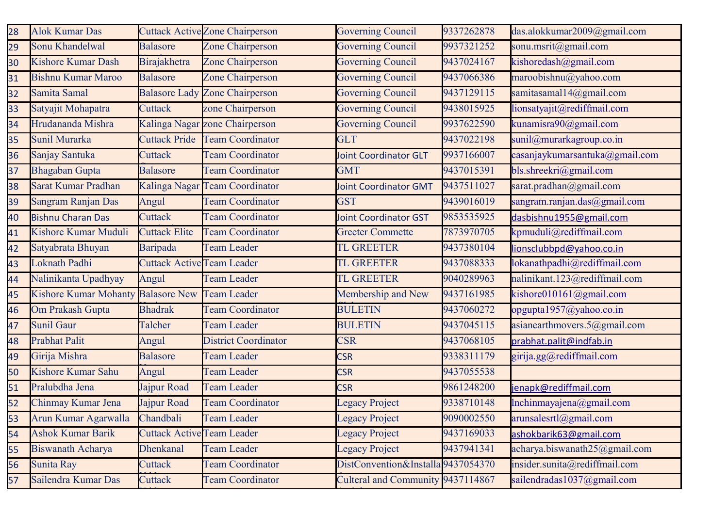| 28 | <b>Alok Kumar Das</b>              |                                   | <b>Cuttack Active Zone Chairperson</b> | <b>Governing Council</b>           | 9337262878 | das.alokkumar2009@gmail.com    |
|----|------------------------------------|-----------------------------------|----------------------------------------|------------------------------------|------------|--------------------------------|
| 29 | Sonu Khandelwal                    | <b>Balasore</b>                   | Zone Chairperson                       | <b>Governing Council</b>           | 9937321252 | sonu.msrit@gmail.com           |
| 30 | <b>Kishore Kumar Dash</b>          | Birajakhetra                      | Zone Chairperson                       | <b>Governing Council</b>           | 9437024167 | kishoredash@gmail.com          |
| 31 | <b>Bishnu Kumar Maroo</b>          | <b>Balasore</b>                   | Zone Chairperson                       | <b>Governing Council</b>           | 9437066386 | maroobishnu@yahoo.com          |
| 32 | Samita Samal                       |                                   | <b>Balasore Lady Zone Chairperson</b>  | <b>Governing Council</b>           | 9437129115 | samitasamal14@gmail.com        |
| 33 | Satyajit Mohapatra                 | Cuttack                           | zone Chairperson                       | <b>Governing Council</b>           | 9438015925 | lionsatyajit@rediffmail.com    |
| 34 | Hrudananda Mishra                  |                                   | Kalinga Nagar zone Chairperson         | <b>Governing Council</b>           | 9937622590 | kunamisra90@gmail.com          |
| 35 | Sunil Murarka                      | <b>Cuttack Pride</b>              | <b>Team Coordinator</b>                | <b>GLT</b>                         | 9437022198 | sunil@murarkagroup.co.in       |
| 36 | Sanjay Santuka                     | Cuttack                           | <b>Team Coordinator</b>                | <b>Joint Coordinator GLT</b>       | 9937166007 | casanjaykumarsantuka@gmail.com |
| 37 | <b>Bhagaban Gupta</b>              | <b>Balasore</b>                   | <b>Team Coordinator</b>                | <b>GMT</b>                         | 9437015391 | bls.shreekri@gmail.com         |
| 38 | Sarat Kumar Pradhan                | Kalinga Nagar                     | <b>Team Coordinator</b>                | <b>Joint Coordinator GMT</b>       | 9437511027 | sarat.pradhan@gmail.com        |
| 39 | Sangram Ranjan Das                 | Angul                             | <b>Team Coordinator</b>                | <b>GST</b>                         | 9439016019 | sangram.ranjan.das@gmail.com   |
| 40 | <b>Bishnu Charan Das</b>           | Cuttack                           | <b>Team Coordinator</b>                | Joint Coordinator GST              | 9853535925 | dasbishnu1955@gmail.com        |
| 41 | Kishore Kumar Muduli               | <b>Cuttack Elite</b>              | <b>Team Coordinator</b>                | <b>Greeter Commette</b>            | 7873970705 | kpmuduli@rediffmail.com        |
| 42 | Satyabrata Bhuyan                  | Baripada                          | <b>Team Leader</b>                     | <b>TL GREETER</b>                  | 9437380104 | lionsclubbpd@yahoo.co.in       |
| 43 | Loknath Padhi                      | <b>Cuttack Active Team Leader</b> |                                        | <b>TL GREETER</b>                  | 9437088333 | lokanathpadhi@rediffmail.com   |
| 44 | Nalinikanta Upadhyay               | Angul                             | <b>Team Leader</b>                     | <b>TL GREETER</b>                  | 9040289963 | nalinikant.123@rediffmail.com  |
| 45 | Kishore Kumar Mohanty Balasore New |                                   | <b>Team Leader</b>                     | Membership and New                 | 9437161985 | kishore010161@gmail.com        |
| 46 | Om Prakash Gupta                   | <b>Bhadrak</b>                    | <b>Team Coordinator</b>                | <b>BULETIN</b>                     | 9437060272 | opgupta1957@yahoo.co.in        |
| 47 | <b>Sunil Gaur</b>                  | Talcher                           | <b>Team Leader</b>                     | <b>BULETIN</b>                     | 9437045115 | asianearthmovers.5@gmail.com   |
| 48 | <b>Prabhat Palit</b>               | Angul                             | <b>District Coordinator</b>            | <b>CSR</b>                         | 9437068105 | prabhat.palit@indfab.in        |
| 49 | Girija Mishra                      | <b>Balasore</b>                   | <b>Team Leader</b>                     | <b>CSR</b>                         | 9338311179 | girija.gg@rediffmail.com       |
| 50 | Kishore Kumar Sahu                 | Angul                             | <b>Team Leader</b>                     | <b>CSR</b>                         | 9437055538 |                                |
| 51 | Pralubdha Jena                     | Jajpur Road                       | <b>Team Leader</b>                     | <b>CSR</b>                         | 9861248200 | jenapk@rediffmail.com          |
| 52 | Chinmay Kumar Jena                 | Jajpur Road                       | <b>Team Coordinator</b>                | <b>Legacy Project</b>              | 9338710148 | Inchinmayajena@gmail.com       |
| 53 | Arun Kumar Agarwalla               | Chandbali                         | <b>Team Leader</b>                     | <b>Legacy Project</b>              | 9090002550 | arunsalesrtl@gmail.com         |
| 54 | <b>Ashok Kumar Barik</b>           | <b>Cuttack Active Team Leader</b> |                                        | <b>Legacy Project</b>              | 9437169033 | ashokbarik63@gmail.com         |
| 55 | <b>Biswanath Acharya</b>           | <b>Dhenkanal</b>                  | <b>Team Leader</b>                     | <b>Legacy Project</b>              | 9437941341 | acharya.biswanath25@gmail.com  |
| 56 | Sunita Ray                         | Cuttack                           | <b>Team Coordinator</b>                | DistConvention&Installa 9437054370 |            | insider.sunita@rediffmail.com  |
| 57 | Sailendra Kumar Das                | Cuttack                           | <b>Team Coordinator</b>                | Culteral and Community 9437114867  |            | sailendradas1037@gmail.com     |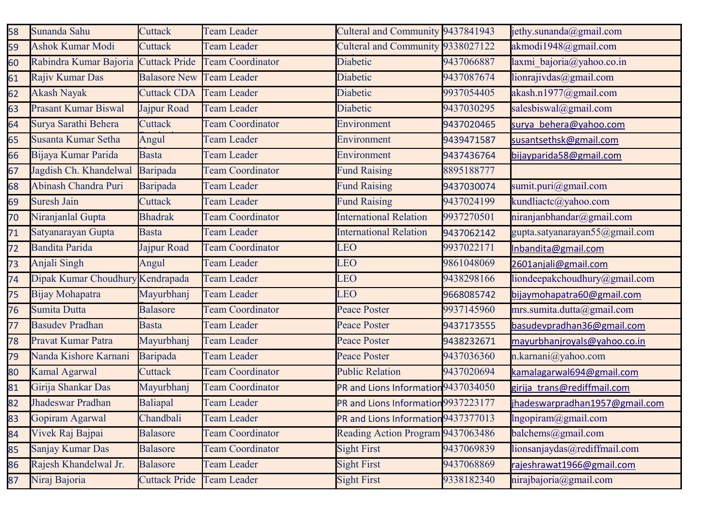| 58 | Sunanda Sahu                     | Cuttack              | <b>Team Leader</b>      | Culteral and Community 9437841943   |            | jethy.sunanda@gmail.com        |
|----|----------------------------------|----------------------|-------------------------|-------------------------------------|------------|--------------------------------|
| 59 | <b>Ashok Kumar Modi</b>          | Cuttack              | <b>Team Leader</b>      | Culteral and Community 9338027122   |            | akmodi1948@gmail.com           |
| 60 | Rabindra Kumar Bajoria           | <b>Cuttack Pride</b> | <b>Team Coordinator</b> | Diabetic                            | 9437066887 | laxmi bajoria@yahoo.co.in      |
| 61 | Rajiv Kumar Das                  | <b>Balasore New</b>  | <b>Team Leader</b>      | Diabetic                            | 9437087674 | lionrajivdas@gmail.com         |
| 62 | <b>Akash Nayak</b>               | <b>Cuttack CDA</b>   | <b>Team Leader</b>      | Diabetic                            | 9937054405 | akash.n1977@gmail.com          |
| 63 | <b>Prasant Kumar Biswal</b>      | Jajpur Road          | <b>Team Leader</b>      | Diabetic                            | 9437030295 | salesbiswal@gmail.com          |
| 64 | Surya Sarathi Behera             | Cuttack              | <b>Team Coordinator</b> | Environment                         | 9437020465 | surya behera@yahoo.com         |
| 65 | Susanta Kumar Setha              | Angul                | <b>Team Leader</b>      | Environment                         | 9439471587 | susantsethsk@gmail.com         |
| 66 | Bijaya Kumar Parida              | <b>Basta</b>         | <b>Team Leader</b>      | Environment                         | 9437436764 | bijayparida58@gmail.com        |
| 67 | Jagdish Ch. Khandelwal           | Baripada             | <b>Team Coordinator</b> | <b>Fund Raising</b>                 | 8895188777 |                                |
| 68 | Abinash Chandra Puri             | Baripada             | <b>Team Leader</b>      | <b>Fund Raising</b>                 | 9437030074 | sumit.puri@gmail.com           |
| 69 | <b>Suresh Jain</b>               | Cuttack              | <b>Team Leader</b>      | <b>Fund Raising</b>                 | 9437024199 | kundliactc@yahoo.com           |
| 70 | Niranjanlal Gupta                | <b>Bhadrak</b>       | <b>Team Coordinator</b> | <b>International Relation</b>       | 9937270501 | niranjanbhandar@gmail.com      |
| 71 | Satyanarayan Gupta               | <b>Basta</b>         | Team Leader             | <b>International Relation</b>       | 9437062142 | gupta.satyanarayan55@gmail.com |
| 72 | <b>Bandita Parida</b>            | Jajpur Road          | <b>Team Coordinator</b> | LEO                                 | 9937022171 | Inbandita@gmail.com            |
| 73 | Anjali Singh                     | Angul                | <b>Team Leader</b>      | <b>LEO</b>                          | 9861048069 | 2601anjali@gmail.com           |
| 74 | Dipak Kumar Choudhury Kendrapada |                      | <b>Team Leader</b>      | LEO                                 | 9438298166 | liondeepakchoudhury@gmail.com  |
| 75 | Bijay Mohapatra                  | Mayurbhanj           | <b>Team Leader</b>      | <b>LEO</b>                          | 9668085742 | bijaymohapatra60@gmail.com     |
| 76 | Sumita Dutta                     | <b>Balasore</b>      | <b>Team Coordinator</b> | <b>Peace Poster</b>                 | 9937145960 | mrs.sumita.dutta@gmail.com     |
| 77 | <b>Basudev Pradhan</b>           | <b>Basta</b>         | <b>Team Leader</b>      | <b>Peace Poster</b>                 | 9437173555 | basudevpradhan36@gmail.com     |
| 78 | Pravat Kumar Patra               | Mayurbhanj           | <b>Team Leader</b>      | Peace Poster                        | 9438232671 | mayurbhanjroyals@yahoo.co.in   |
| 79 | Nanda Kishore Karnani            | Baripada             | <b>Team Leader</b>      | <b>Peace Poster</b>                 | 9437036360 | n.karnani@yahoo.com            |
| 80 | Kamal Agarwal                    | Cuttack              | <b>Team Coordinator</b> | <b>Public Relation</b>              | 9437020694 | kamalagarwal694@gmail.com      |
| 81 | Girija Shankar Das               | Mayurbhanj           | <b>Team Coordinator</b> | PR and Lions Information 9437034050 |            | girija trans@rediffmail.com    |
| 82 | Jhadeswar Pradhan                | <b>Baliapal</b>      | <b>Team Leader</b>      | PR and Lions Information 9937223177 |            | jhadeswarpradhan1957@gmail.com |
| 83 | Gopiram Agarwal                  | Chandbali            | <b>Team Leader</b>      | PR and Lions Information 9437377013 |            | $ln$ gopiram $@$ gmail.com     |
| 84 | Vivek Raj Bajpai                 | <b>Balasore</b>      | <b>Team Coordinator</b> | Reading Action Program 9437063486   |            | balchems@gmail.com             |
| 85 | Sanjay Kumar Das                 | <b>Balasore</b>      | <b>Team Coordinator</b> | <b>Sight First</b>                  | 9437069839 | lionsanjaydas@rediffmail.com   |
| 86 | Rajesh Khandelwal Jr.            | <b>Balasore</b>      | <b>Team Leader</b>      | <b>Sight First</b>                  | 9437068869 | rajeshrawat1966@gmail.com      |
| 87 | Niraj Bajoria                    | <b>Cuttack Pride</b> | <b>Team Leader</b>      | <b>Sight First</b>                  | 9338182340 | nirajbajoria@gmail.com         |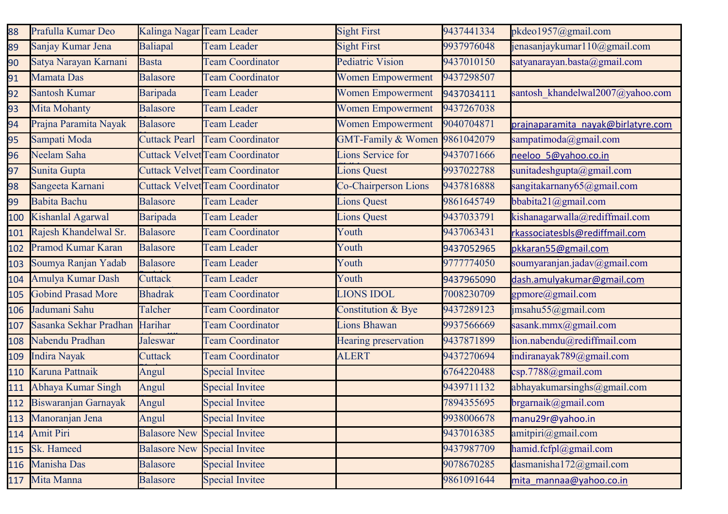| 88  | Prafulla Kumar Deo        | Kalinga Nagar Team Leader |                                        | <b>Sight First</b>            | 9437441334 | pkdeo1957@gmail.com                |
|-----|---------------------------|---------------------------|----------------------------------------|-------------------------------|------------|------------------------------------|
| 89  | Sanjay Kumar Jena         | Baliapal                  | <b>Team Leader</b>                     | <b>Sight First</b>            | 9937976048 | jenasanjaykumar110@gmail.com       |
| 90  | Satya Narayan Karnani     | <b>Basta</b>              | <b>Team Coordinator</b>                | <b>Pediatric Vision</b>       | 9437010150 | satyanarayan.basta@gmail.com       |
| 91  | Mamata Das                | Balasore                  | <b>Team Coordinator</b>                | <b>Women Empowerment</b>      | 9437298507 |                                    |
| 92  | <b>Santosh Kumar</b>      | Baripada                  | <b>Team Leader</b>                     | Women Empowerment             | 9437034111 | santosh khandelwal2007@yahoo.com   |
| 93  | <b>Mita Mohanty</b>       | <b>Balasore</b>           | <b>Team Leader</b>                     | <b>Women Empowerment</b>      | 9437267038 |                                    |
| 94  | Prajna Paramita Nayak     | <b>Balasore</b>           | <b>Team Leader</b>                     | Women Empowerment             | 9040704871 | prajnaparamita nayak@birlatyre.com |
| 95  | Sampati Moda              | <b>Cuttack Pearl</b>      | <b>Team Coordinator</b>                | <b>GMT-Family &amp; Women</b> | 9861042079 | sampatimoda@gmail.com              |
| 96  | Neelam Saha               |                           | <b>Cuttack Velvet Team Coordinator</b> | Lions Service for             | 9437071666 | neeloo 5@yahoo.co.in               |
| 97  | Sunita Gupta              |                           | <b>Cuttack Velvet Team Coordinator</b> | Lions Quest                   | 9937022788 | sunitadeshgupta@gmail.com          |
| 98  | Sangeeta Karnani          |                           | <b>Cuttack Velvet Team Coordinator</b> | <b>Co-Chairperson Lions</b>   | 9437816888 | sangitakarnany65@gmail.com         |
| 99  | <b>Babita Bachu</b>       | <b>Balasore</b>           | <b>Team Leader</b>                     | <b>Lions Quest</b>            | 9861645749 | bbabita21@gmail.com                |
| 100 | Kishanlal Agarwal         | Baripada                  | <b>Team Leader</b>                     | <b>Lions Quest</b>            | 9437033791 | kishanagarwalla@rediffmail.com     |
| 101 | Rajesh Khandelwal Sr.     | Balasore                  | <b>Team Coordinator</b>                | Youth                         | 9437063431 | rkassociatesbls@rediffmail.com     |
| 102 | <b>Pramod Kumar Karan</b> | <b>Balasore</b>           | <b>Team Leader</b>                     | Youth                         | 9437052965 | pkkaran55@gmail.com                |
| 103 | Soumya Ranjan Yadab       | <b>Balasore</b>           | <b>Team Leader</b>                     | Youth                         | 9777774050 | soumyaranjan.jadav@gmail.com       |
| 104 | Amulya Kumar Dash         | Cuttack                   | <b>Team Leader</b>                     | Youth                         | 9437965090 | dash.amulyakumar@gmail.com         |
| 105 | <b>Gobind Prasad More</b> | <b>Bhadrak</b>            | <b>Team Coordinator</b>                | <b>LIONS IDOL</b>             | 7008230709 | gpmore@gmail.com                   |
| 106 | Jadumani Sahu             | Talcher                   | <b>Team Coordinator</b>                | Constitution & Bye            | 9437289123 | jmsahu55@gmail.com                 |
| 107 | Sasanka Sekhar Pradhan    | Harihar                   | <b>Team Coordinator</b>                | <b>Lions Bhawan</b>           | 9937566669 | sasank.mmx@gmail.com               |
| 108 | Nabendu Pradhan           | Jaleswar                  | <b>Team Coordinator</b>                | Hearing preservation          | 9437871899 | lion.nabendu@rediffmail.com        |
| 109 | Indira Nayak              | Cuttack                   | <b>Team Coordinator</b>                | <b>ALERT</b>                  | 9437270694 | indiranayak789@gmail.com           |
| 110 | Karuna Pattnaik           | Angul                     | <b>Special Invitee</b>                 |                               | 6764220488 | csp.7788@gmail.com                 |
| 111 | Abhaya Kumar Singh        | Angul                     | <b>Special Invitee</b>                 |                               | 9439711132 | abhayakumarsinghs@gmail.com        |
|     | 112 Biswaranjan Garnayak  | Angul                     | <b>Special Invitee</b>                 |                               | 7894355695 | brgarnaik@gmail.com                |
| 113 | Manoranjan Jena           | Angul                     | <b>Special Invitee</b>                 |                               | 9938006678 | manu29r@yahoo.in                   |
| 114 | Amit Piri                 | <b>Balasore New</b>       | <b>Special Invitee</b>                 |                               | 9437016385 | amitpiri@gmail.com                 |
| 115 | Sk. Hameed                | <b>Balasore New</b>       | <b>Special Invitee</b>                 |                               | 9437987709 | hamid.fcfpl@gmail.com              |
| 116 | Manisha Das               | <b>Balasore</b>           | <b>Special Invitee</b>                 |                               | 9078670285 | dasmanisha172@gmail.com            |
| 117 | Mita Manna                | <b>Balasore</b>           | <b>Special Invitee</b>                 |                               | 9861091644 | mita mannaa@yahoo.co.in            |